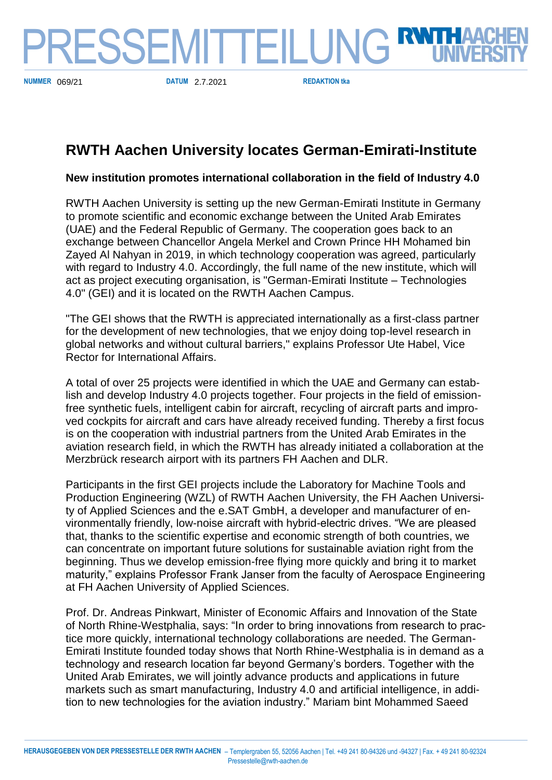

**NUMMER DATUM REDAKTION tka** 069/21 2.7.2021

## **RWTH Aachen University locates German-Emirati-Institute**

## **New institution promotes international collaboration in the field of Industry 4.0**

RWTH Aachen University is setting up the new German-Emirati Institute in Germany to promote scientific and economic exchange between the United Arab Emirates (UAE) and the Federal Republic of Germany. The cooperation goes back to an exchange between Chancellor Angela Merkel and Crown Prince HH Mohamed bin Zayed Al Nahyan in 2019, in which technology cooperation was agreed, particularly with regard to Industry 4.0. Accordingly, the full name of the new institute, which will act as project executing organisation, is "German-Emirati Institute – Technologies 4.0" (GEI) and it is located on the RWTH Aachen Campus.

"The GEI shows that the RWTH is appreciated internationally as a first-class partner for the development of new technologies, that we enjoy doing top-level research in global networks and without cultural barriers," explains Professor Ute Habel, Vice Rector for International Affairs.

A total of over 25 projects were identified in which the UAE and Germany can establish and develop Industry 4.0 projects together. Four projects in the field of emissionfree synthetic fuels, intelligent cabin for aircraft, recycling of aircraft parts and improved cockpits for aircraft and cars have already received funding. Thereby a first focus is on the cooperation with industrial partners from the United Arab Emirates in the aviation research field, in which the RWTH has already initiated a collaboration at the Merzbrück research airport with its partners FH Aachen and DLR.

Participants in the first GEI projects include the Laboratory for Machine Tools and Production Engineering (WZL) of RWTH Aachen University, the FH Aachen University of Applied Sciences and the e.SAT GmbH, a developer and manufacturer of environmentally friendly, low-noise aircraft with hybrid-electric drives. "We are pleased that, thanks to the scientific expertise and economic strength of both countries, we can concentrate on important future solutions for sustainable aviation right from the beginning. Thus we develop emission-free flying more quickly and bring it to market maturity," explains Professor Frank Janser from the faculty of Aerospace Engineering at FH Aachen University of Applied Sciences.

Prof. Dr. Andreas Pinkwart, Minister of Economic Affairs and Innovation of the State of North Rhine-Westphalia, says: "In order to bring innovations from research to practice more quickly, international technology collaborations are needed. The German-Emirati Institute founded today shows that North Rhine-Westphalia is in demand as a technology and research location far beyond Germany's borders. Together with the United Arab Emirates, we will jointly advance products and applications in future markets such as smart manufacturing, Industry 4.0 and artificial intelligence, in addition to new technologies for the aviation industry." Mariam bint Mohammed Saeed